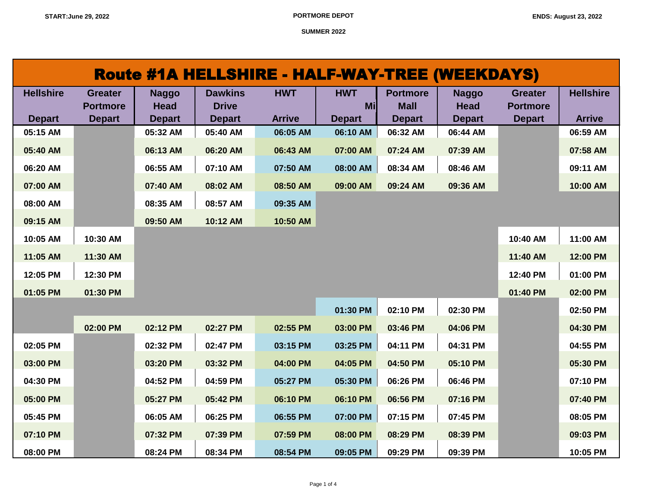| Route #1A HELLSHIRE - HALF-WAY-TREE (WEEKDAYS) |                                   |                             |                                |               |                  |                                |                             |                                   |                  |  |
|------------------------------------------------|-----------------------------------|-----------------------------|--------------------------------|---------------|------------------|--------------------------------|-----------------------------|-----------------------------------|------------------|--|
| <b>Hellshire</b>                               | <b>Greater</b><br><b>Portmore</b> | <b>Naggo</b><br><b>Head</b> | <b>Dawkins</b><br><b>Drive</b> | <b>HWT</b>    | <b>HWT</b><br>Mi | <b>Portmore</b><br><b>Mall</b> | <b>Naggo</b><br><b>Head</b> | <b>Greater</b><br><b>Portmore</b> | <b>Hellshire</b> |  |
| <b>Depart</b>                                  | <b>Depart</b>                     | <b>Depart</b>               | <b>Depart</b>                  | <b>Arrive</b> | <b>Depart</b>    | <b>Depart</b>                  | <b>Depart</b>               | <b>Depart</b>                     | <b>Arrive</b>    |  |
| 05:15 AM                                       |                                   | 05:32 AM                    | 05:40 AM                       | 06:05 AM      | 06:10 AM         | 06:32 AM                       | 06:44 AM                    |                                   | 06:59 AM         |  |
| 05:40 AM                                       |                                   | 06:13 AM                    | 06:20 AM                       | 06:43 AM      | 07:00 AM         | 07:24 AM                       | 07:39 AM                    |                                   | 07:58 AM         |  |
| 06:20 AM                                       |                                   | 06:55 AM                    | 07:10 AM                       | 07:50 AM      | 08:00 AM         | 08:34 AM                       | 08:46 AM                    |                                   | 09:11 AM         |  |
| 07:00 AM                                       |                                   | 07:40 AM                    | 08:02 AM                       | 08:50 AM      | 09:00 AM         | 09:24 AM                       | 09:36 AM                    |                                   | 10:00 AM         |  |
| 08:00 AM                                       |                                   | 08:35 AM                    | 08:57 AM                       | 09:35 AM      |                  |                                |                             |                                   |                  |  |
| 09:15 AM                                       |                                   | 09:50 AM                    | 10:12 AM                       | 10:50 AM      |                  |                                |                             |                                   |                  |  |
| 10:05 AM                                       | 10:30 AM                          |                             |                                |               |                  |                                |                             | 10:40 AM                          | 11:00 AM         |  |
| 11:05 AM                                       | 11:30 AM                          |                             |                                |               |                  |                                |                             | 11:40 AM                          | 12:00 PM         |  |
| 12:05 PM                                       | 12:30 PM                          |                             |                                |               |                  |                                |                             | 12:40 PM                          | 01:00 PM         |  |
| 01:05 PM                                       | 01:30 PM                          |                             |                                |               |                  |                                |                             | 01:40 PM                          | 02:00 PM         |  |
|                                                |                                   |                             |                                |               | 01:30 PM         | 02:10 PM                       | 02:30 PM                    |                                   | 02:50 PM         |  |
|                                                | 02:00 PM                          | 02:12 PM                    | 02:27 PM                       | 02:55 PM      | 03:00 PM         | 03:46 PM                       | 04:06 PM                    |                                   | 04:30 PM         |  |
| 02:05 PM                                       |                                   | 02:32 PM                    | 02:47 PM                       | 03:15 PM      | 03:25 PM         | 04:11 PM                       | 04:31 PM                    |                                   | 04:55 PM         |  |
| 03:00 PM                                       |                                   | 03:20 PM                    | 03:32 PM                       | 04:00 PM      | 04:05 PM         | 04:50 PM                       | 05:10 PM                    |                                   | 05:30 PM         |  |
| 04:30 PM                                       |                                   | 04:52 PM                    | 04:59 PM                       | 05:27 PM      | 05:30 PM         | 06:26 PM                       | 06:46 PM                    |                                   | 07:10 PM         |  |
| 05:00 PM                                       |                                   | 05:27 PM                    | 05:42 PM                       | 06:10 PM      | 06:10 PM         | 06:56 PM                       | 07:16 PM                    |                                   | 07:40 PM         |  |
| 05:45 PM                                       |                                   | 06:05 AM                    | 06:25 PM                       | 06:55 PM      | 07:00 PM         | 07:15 PM                       | 07:45 PM                    |                                   | 08:05 PM         |  |
| 07:10 PM                                       |                                   | 07:32 PM                    | 07:39 PM                       | 07:59 PM      | 08:00 PM         | 08:29 PM                       | 08:39 PM                    |                                   | 09:03 PM         |  |
| 08:00 PM                                       |                                   | 08:24 PM                    | 08:34 PM                       | 08:54 PM      | 09:05 PM         | 09:29 PM                       | 09:39 PM                    |                                   | 10:05 PM         |  |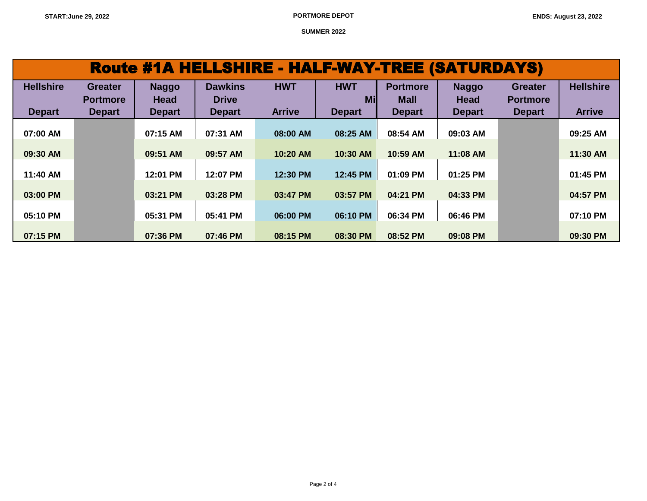| <b>Route #1A HELLSHIRE - HALF-WAY-TREE (SATURDAYS)</b> |                 |               |                |               |               |                 |               |                 |                  |  |
|--------------------------------------------------------|-----------------|---------------|----------------|---------------|---------------|-----------------|---------------|-----------------|------------------|--|
| <b>Hellshire</b>                                       | <b>Greater</b>  | <b>Naggo</b>  | <b>Dawkins</b> | <b>HWT</b>    | <b>HWT</b>    | <b>Portmore</b> | <b>Naggo</b>  | <b>Greater</b>  | <b>Hellshire</b> |  |
|                                                        | <b>Portmore</b> | <b>Head</b>   | <b>Drive</b>   |               | Mil           | <b>Mall</b>     | <b>Head</b>   | <b>Portmore</b> |                  |  |
| <b>Depart</b>                                          | <b>Depart</b>   | <b>Depart</b> | <b>Depart</b>  | <b>Arrive</b> | <b>Depart</b> | <b>Depart</b>   | <b>Depart</b> | <b>Depart</b>   | <b>Arrive</b>    |  |
| 07:00 AM                                               |                 | 07:15 AM      | 07:31 AM       | 08:00 AM      | 08:25 AM      | 08:54 AM        | 09:03 AM      |                 | 09:25 AM         |  |
|                                                        |                 |               |                |               |               |                 |               |                 |                  |  |
| 09:30 AM                                               |                 | 09:51 AM      | 09:57 AM       | $10:20$ AM    | 10:30 AM      | 10:59 AM        | 11:08 AM      |                 | $11:30$ AM       |  |
| $11:40$ AM                                             |                 | 12:01 PM      | 12:07 PM       | 12:30 PM      | 12:45 PM      | $01:09$ PM      | 01:25 PM      |                 | 01:45 PM         |  |
| 03:00 PM                                               |                 | 03:21 PM      | 03:28 PM       | 03:47 PM      | 03:57 PM      | 04:21 PM        | 04:33 PM      |                 | 04:57 PM         |  |
| 05:10 PM                                               |                 | 05:31 PM      | 05:41 PM       | 06:00 PM      | 06:10 PM      | 06:34 PM        | 06:46 PM      |                 | 07:10 PM         |  |
| 07:15 PM                                               |                 | 07:36 PM      | 07:46 PM       | 08:15 PM      | 08:30 PM      | 08:52 PM        | 09:08 PM      |                 | 09:30 PM         |  |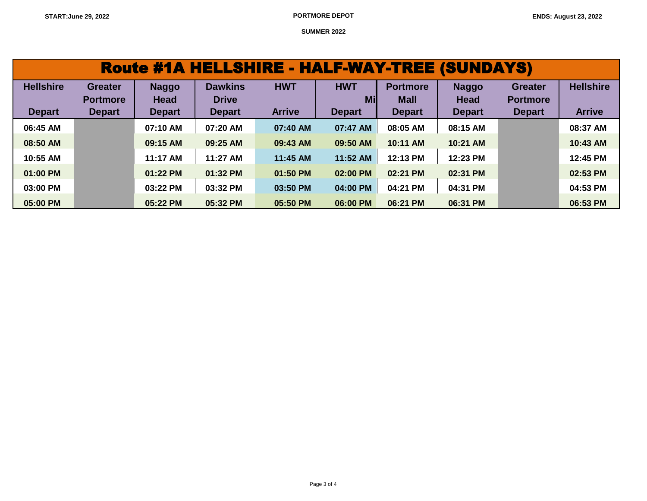| <b>Route #1A HELLSHIRE - HALF-WAY-TREE (SUNDAYS)</b> |                                   |                             |                                |               |                   |                                |                             |                                   |                  |  |  |
|------------------------------------------------------|-----------------------------------|-----------------------------|--------------------------------|---------------|-------------------|--------------------------------|-----------------------------|-----------------------------------|------------------|--|--|
| <b>Hellshire</b>                                     | <b>Greater</b><br><b>Portmore</b> | <b>Naggo</b><br><b>Head</b> | <b>Dawkins</b><br><b>Drive</b> | <b>HWT</b>    | <b>HWT</b><br>Mil | <b>Portmore</b><br><b>Mall</b> | <b>Naggo</b><br><b>Head</b> | <b>Greater</b><br><b>Portmore</b> | <b>Hellshire</b> |  |  |
| <b>Depart</b>                                        | <b>Depart</b>                     | <b>Depart</b>               | <b>Depart</b>                  | <b>Arrive</b> | <b>Depart</b>     | <b>Depart</b>                  | <b>Depart</b>               | <b>Depart</b>                     | <b>Arrive</b>    |  |  |
| 06:45 AM                                             |                                   | 07:10 AM                    | 07:20 AM                       | 07:40 AM      | 07:47 AM          | 08:05 AM                       | 08:15 AM                    |                                   | 08:37 AM         |  |  |
| 08:50 AM                                             |                                   | 09:15 AM                    | 09:25 AM                       | 09:43 AM      | 09:50 AM          | 10:11 AM                       | 10:21 AM                    |                                   | 10:43 AM         |  |  |
| 10:55 AM                                             |                                   | 11:17 AM                    | 11:27 AM                       | 11:45 AM      | 11:52 AM          | 12:13 PM                       | 12:23 PM                    |                                   | 12:45 PM         |  |  |
| 01:00 PM                                             |                                   | 01:22 PM                    | 01:32 PM                       | 01:50 PM      | 02:00 PM          | 02:21 PM                       | 02:31 PM                    |                                   | 02:53 PM         |  |  |
| 03:00 PM                                             |                                   | 03:22 PM                    | 03:32 PM                       | 03:50 PM      | 04:00 PM          | 04:21 PM                       | 04:31 PM                    |                                   | 04:53 PM         |  |  |
| 05:00 PM                                             |                                   | 05:22 PM                    | 05:32 PM                       | 05:50 PM      | 06:00 PM          | 06:21 PM                       | 06:31 PM                    |                                   | 06:53 PM         |  |  |